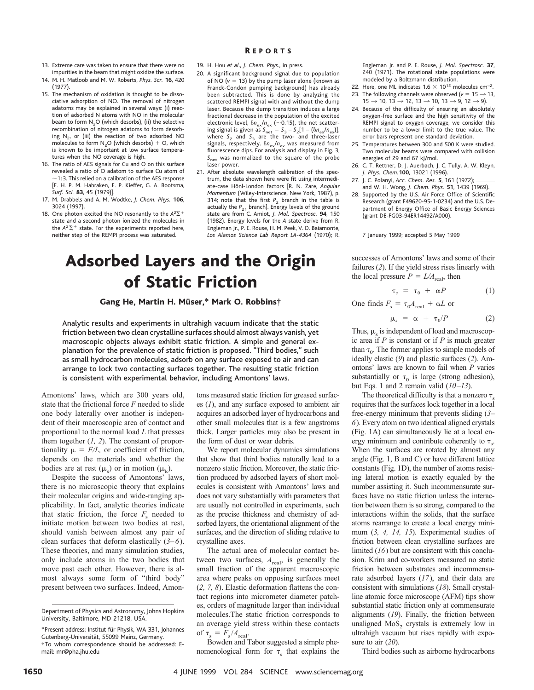- 13. Extreme care was taken to ensure that there were no impurities in the beam that might oxidize the surface.
- 14. M. H. Matloob and M. W. Roberts, *Phys. Scr.* **16**, 420 (1977).
- 15. The mechanism of oxidation is thought to be dissociative adsorption of NO. The removal of nitrogen adatoms may be explained in several ways: (i) reaction of adsorbed N atoms with NO in the molecular beam to form N<sub>2</sub>O (which desorbs), (ii) the selective recombination of nitrogen adatoms to form desorbing  $N<sub>2</sub>$ , or (iii) the reaction of two adsorbed NO molecules to form N<sub>2</sub>O (which desorbs) + O, which is known to be important at low surface temperatures when the NO coverage is high.
- 16. The ratio of AES signals for Cu and O on this surface revealed a ratio of O adatom to surface Cu atom of  $\sim$ 1: 3. This relied on a calibration of the AES response [F. H. P. M. Habraken, E. P. Kieffer, G. A. Bootsma, *Surf. Sci.* **83**, 45 (1979)].
- 17. M. Drabbels and A. M. Wodtke, *J. Chem. Phys.* **106**, 3024 (1997).
- 18. One photon excited the NO resonantly to the  $A^2\Sigma^+$ state and a second photon ionized the molecules in the  $A^2\Sigma^+$  state. For the experiments reported here, neither step of the REMPI process was saturated.

#### R EPORTS

- 19. H. Hou *et al*., *J. Chem. Phys*., in press.
- 20. A significant background signal due to population of NO  $(v = 13)$  by the pump laser alone (known as Franck-Condon pumping background) has already been subtracted. This is done by analyzing the scattered REMPI signal with and without the dump laser. Because the dump transition induces a large fractional decrease in the population of the excited electronic level,  $\delta n_{\text{ex}}/n_{\text{ex}}$  (~0.15), the net scattering signal is given as  $S_{\text{net}} = S_3 - S_2[1 - (\delta n_{\text{ex}}/n_{\text{ex}})]$ , where S<sub>2</sub> and S<sub>3</sub> are the two- and three-laser signals, respectively.  $\delta n_{\text{ex}}/n_{\text{ex}}$  was measured from fluorescence dips. For analysis and display in Fig. 3, *S*net was normalized to the square of the probe laser power.
- 21. After absolute wavelength calibration of the spectrum, the data shown here were fit using intermediate-case Hönl-London factors [R. N. Zare, *Angular Momentum* (Wiley-Interscience, New York, 1987), p. 314; note that the first  $P_2$  branch in the table is actually the  $P_{21}$  branch]. Energy levels of the ground state are from C. Amiot, *J. Mol. Spectrosc.* **94**, 150 (1982). Energy levels for the *A* state derive from R. Engleman Jr., P. E. Rouse, H. M. Peek, V. D. Baiamonte, *Los Alamos Science Lab Report LA-4364* (1970); R.

## Adsorbed Layers and the Origin of Static Friction

Gang He, Martin H. Müser,\* Mark O. Robbins†

Analytic results and experiments in ultrahigh vacuum indicate that the static friction between two clean crystalline surfaces should almost always vanish, yet macroscopic objects always exhibit static friction. A simple and general explanation for the prevalence of static friction is proposed. "Third bodies," such as small hydrocarbon molecules, adsorb on any surface exposed to air and can arrange to lock two contacting surfaces together. The resulting static friction is consistent with experimental behavior, including Amontons' laws.

Amontons' laws, which are 300 years old, state that the frictional force *F* needed to slide one body laterally over another is independent of their macroscopic area of contact and proportional to the normal load *L* that presses them together (*1, 2*). The constant of proportionality  $\mu = F/L$ , or coefficient of friction, depends on the materials and whether the bodies are at rest  $(\mu_s)$  or in motion  $(\mu_k)$ .

Despite the success of Amontons' laws, there is no microscopic theory that explains their molecular origins and wide-ranging applicability. In fact, analytic theories indicate that static friction, the force  $F_s$  needed to initiate motion between two bodies at rest, should vanish between almost any pair of clean surfaces that deform elastically (*3–6*). These theories, and many simulation studies, only include atoms in the two bodies that move past each other. However, there is almost always some form of "third body" present between two surfaces. Indeed, Amontons measured static friction for greased surfaces (*1*), and any surface exposed to ambient air acquires an adsorbed layer of hydrocarbons and other small molecules that is a few angstroms thick. Larger particles may also be present in the form of dust or wear debris.

We report molecular dynamics simulations that show that third bodies naturally lead to a nonzero static friction. Moreover, the static friction produced by adsorbed layers of short molecules is consistent with Amontons' laws and does not vary substantially with parameters that are usually not controlled in experiments, such as the precise thickness and chemistry of adsorbed layers, the orientational alignment of the surfaces, and the direction of sliding relative to crystalline axes.

The actual area of molecular contact between two surfaces,  $A_{\text{real}}$ , is generally the small fraction of the apparent macroscopic area where peaks on opposing surfaces meet (*2, 7, 8*). Elastic deformation flattens the contact regions into micrometer diameter patches, orders of magnitude larger than individual molecules.The static friction corresponds to an average yield stress within these contacts of  $\tau_s = F_s/A_{\text{real}}$ .

Bowden and Tabor suggested a simple phenomenological form for  $\tau_s$  that explains the Engleman Jr. and P. E. Rouse, *J. Mol. Spectrosc.* **37**, 240 (1971). The rotational state populations were modeled by a Boltzmann distribution.

- 22. Here, one ML indicates  $1.6 \times 10^{15}$  molecules cm<sup>-2</sup>.
- 23. The following channels were observed ( $v = 15 \rightarrow 13$ ,  $15 \rightarrow 10, 13 \rightarrow 12, 13 \rightarrow 10, 13 \rightarrow 9, 12 \rightarrow 9$ ).
- 24. Because of the difficulty of ensuring an absolutely oxygen-free surface and the high sensitivity of the REMPI signal to oxygen coverage, we consider this number to be a lower limit to the true value. The error bars represent one standard deviation.
- 25. Temperatures between 300 and 500 K were studied. Two molecular beams were compared with collision energies of 29 and 67 kJ/mol.
- 26. C. T. Rettner, D. J. Auerbach, J. C. Tully, A. W. Kleyn, *J. Phys. Chem.***100**, 13021 (1996).
- 27. J. C. Polanyi, *Acc. Chem. Res.* **5**, 161 (1972); and W. H. Wong, *J. Chem. Phys.* **51**, 1439 (1969).
- 28. Supported by the U.S. Air Force Office of Scientific Research (grant F49620-95-1-0234) and the U.S. Department of Energy Office of Basic Energy Sciences (grant DE-FG03-94ER14492/A000).

7 January 1999; accepted 5 May 1999

successes of Amontons' laws and some of their failures (*2*). If the yield stress rises linearly with the local pressure  $P = L/A_{\text{real}}$ , then

$$
\tau_s = \tau_0 + \alpha P \tag{1}
$$

One finds  $F_s = \tau_0 A_{\text{real}} + \alpha L$  or

$$
\mu_s = \alpha + \tau_0/P \tag{2}
$$

Thus,  $\mu_s$  is independent of load and macroscopic area if *P* is constant or if *P* is much greater than  $\tau_0$ . The former applies to simple models of ideally elastic (*9*) and plastic surfaces (*2*). Amontons' laws are known to fail when *P* varies substantially or  $\tau_0$  is large (strong adhesion), but Eqs. 1 and 2 remain valid (*10–13*).

The theoretical difficulty is that a nonzero  $\tau_s$ requires that the surfaces lock together in a local free-energy minimum that prevents sliding (*3– 6*). Every atom on two identical aligned crystals (Fig. 1A) can simultaneously lie at a local energy minimum and contribute coherently to  $\tau_s$ . When the surfaces are rotated by almost any angle (Fig. 1, B and C) or have different lattice constants (Fig. 1D), the number of atoms resisting lateral motion is exactly equaled by the number assisting it. Such incommensurate surfaces have no static friction unless the interaction between them is so strong, compared to the interactions within the solids, that the surface atoms rearrange to create a local energy minimum (*3, 4, 14, 15*). Experimental studies of friction between clean crystalline surfaces are limited (*16*) but are consistent with this conclusion. Krim and co-workers measured no static friction between substrates and incommensurate adsorbed layers (*17*), and their data are consistent with simulations (*18*). Small crystalline atomic force microscope (AFM) tips show substantial static friction only at commensurate alignments (*19*). Finally, the friction between unaligned  $MoS<sub>2</sub>$  crystals is extremely low in ultrahigh vacuum but rises rapidly with exposure to air (*20*).

Third bodies such as airborne hydrocarbons

Department of Physics and Astronomy, Johns Hopkins University, Baltimore, MD 21218, USA.

<sup>\*</sup>Present address: Institut für Physik, WA 331, Johannes Gutenberg-Universität, 55099 Mainz, Germany. †To whom correspondence should be addressed: Email: mr@pha.jhu.edu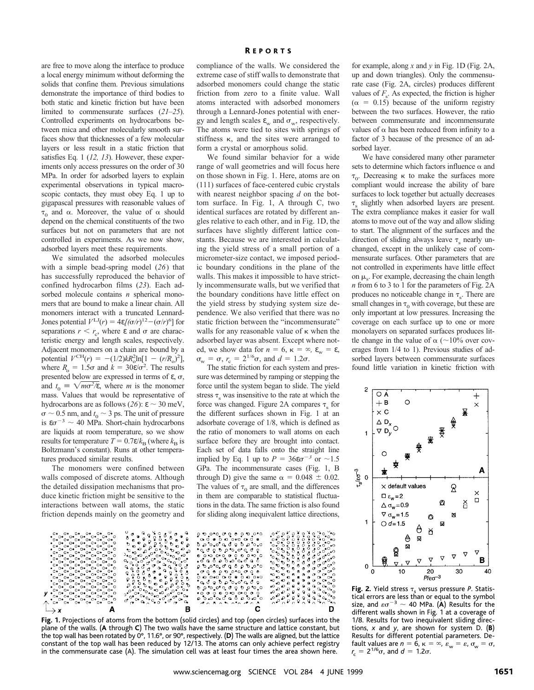are free to move along the interface to produce a local energy minimum without deforming the solids that confine them. Previous simulations demonstrate the importance of third bodies to both static and kinetic friction but have been limited to commensurate surfaces (*21–25*). Controlled experiments on hydrocarbons between mica and other molecularly smooth surfaces show that thicknesses of a few molecular layers or less result in a static friction that satisfies Eq. 1 (*12, 13*). However, these experiments only access pressures on the order of 30 MPa. In order for adsorbed layers to explain experimental observations in typical macroscopic contacts, they must obey Eq. 1 up to gigapascal pressures with reasonable values of  $\tau_0$  and  $\alpha$ . Moreover, the value of  $\alpha$  should depend on the chemical constituents of the two surfaces but not on parameters that are not controlled in experiments. As we now show, adsorbed layers meet these requirements.

We simulated the adsorbed molecules with a simple bead-spring model (*26*) that has successfully reproduced the behavior of confined hydrocarbon films (*23*). Each adsorbed molecule contains *n* spherical monomers that are bound to make a linear chain. All monomers interact with a truncated Lennard-Jones potential  $V^{\text{LJ}}(r) = 4\varepsilon/(\sigma/r)^{12} - (\sigma/r)^6$  for separations  $r < r_c$ , where  $\varepsilon$  and  $\sigma$  are characteristic energy and length scales, respectively. Adjacent monomers on a chain are bound by a potential  $V^{\text{CH}}(r) = -(1/2)kR_0^2 \ln[1 - (r/R_0)^2],$ where  $R_0 = 1.5\sigma$  and  $k = 30\varepsilon/\sigma^2$ . The results presented below are expressed in terms of  $\varepsilon$ ,  $\sigma$ , and  $t_0 \equiv \sqrt{m\sigma^2/\varepsilon}$ , where *m* is the monomer mass. Values that would be representative of hydrocarbons are as follows (26):  $\varepsilon \sim 30$  meV,  $\sigma \sim 0.5$  nm, and  $t_0 \sim 3$  ps. The unit of pressure is  $\varepsilon\sigma^{-3} \sim 40$  MPa. Short-chain hydrocarbons are liquids at room temperature, so we show results for temperature  $T = 0.7\varepsilon/k_B$  (where  $k_B$  is Boltzmann's constant). Runs at other temperatures produced similar results.

The monomers were confined between walls composed of discrete atoms. Although the detailed dissipation mechanisms that produce kinetic friction might be sensitive to the interactions between wall atoms, the static friction depends mainly on the geometry and

compliance of the walls. We considered the extreme case of stiff walls to demonstrate that adsorbed monomers could change the static friction from zero to a finite value. Wall atoms interacted with adsorbed monomers through a Lennard-Jones potential with energy and length scales  $\varepsilon_w$  and  $\sigma_w$ , respectively. The atoms were tied to sites with springs of stiffness  $\kappa$ , and the sites were arranged to form a crystal or amorphous solid.

We found similar behavior for a wide range of wall geometries and will focus here on those shown in Fig. 1. Here, atoms are on (111) surfaces of face-centered cubic crystals with nearest neighbor spacing *d* on the bottom surface. In Fig. 1, A through C, two identical surfaces are rotated by different angles relative to each other, and in Fig. 1D, the surfaces have slightly different lattice constants. Because we are interested in calculating the yield stress of a small portion of a micrometer-size contact, we imposed periodic boundary conditions in the plane of the walls. This makes it impossible to have strictly incommensurate walls, but we verified that the boundary conditions have little effect on the yield stress by studying system size dependence. We also verified that there was no static friction between the "incommensurate" walls for any reasonable value of  $\kappa$  when the adsorbed layer was absent. Except where noted, we show data for  $n = 6$ ,  $\kappa = \infty$ ,  $\varepsilon_w = \varepsilon$ ,  $\sigma_{\rm w} = \sigma$ ,  $r_{\rm c} = 2^{1/6}\sigma$ , and  $d = 1.2\sigma$ .

The static friction for each system and pressure was determined by ramping or stepping the force until the system began to slide. The yield stress  $\tau$ <sub>s</sub> was insensitive to the rate at which the force was changed. Figure 2A compares  $\tau_s$  for the different surfaces shown in Fig. 1 at an adsorbate coverage of 1/8, which is defined as the ratio of monomers to wall atoms on each surface before they are brought into contact. Each set of data falls onto the straight line implied by Eq. 1 up to  $P = 36\varepsilon\sigma^{-3}$  or  $\sim 1.5$ GPa. The incommensurate cases (Fig. 1, B through D) give the same  $\alpha = 0.048 \pm 0.02$ . The values of  $\tau_0$  are small, and the differences in them are comparable to statistical fluctuations in the data. The same friction is also found for sliding along inequivalent lattice directions,



**Fig. 1.** Projections of atoms from the bottom (solid circles) and top (open circles) surfaces into the plane of the walls. (**A** through **C**) The two walls have the same structure and lattice constant, but the top wall has been rotated by 0°, 11.6°, or 90°, respectively. (**D**) The walls are aligned, but the lattice constant of the top wall has been reduced by 12/13. The atoms can only achieve perfect registry in the commensurate case (A). The simulation cell was at least four times the area shown here.

for example, along *x* and *y* in Fig. 1D (Fig. 2A, up and down triangles). Only the commensurate case (Fig. 2A, circles) produces different values of  $F_s$ . As expected, the friction is higher  $(\alpha = 0.15)$  because of the uniform registry between the two surfaces. However, the ratio between commensurate and incommensurate values of  $\alpha$  has been reduced from infinity to a factor of 3 because of the presence of an adsorbed layer.

We have considered many other parameter sets to determine which factors influence  $\alpha$  and  $\tau_0$ . Decreasing  $\kappa$  to make the surfaces more compliant would increase the ability of bare surfaces to lock together but actually decreases  $\tau_s$  slightly when adsorbed layers are present. The extra compliance makes it easier for wall atoms to move out of the way and allow sliding to start. The alignment of the surfaces and the direction of sliding always leave  $\tau_s$  nearly unchanged, except in the unlikely case of commensurate surfaces. Other parameters that are not controlled in experiments have little effect on  $\mu_s$ . For example, decreasing the chain length *n* from 6 to 3 to 1 for the parameters of Fig. 2A produces no noticeable change in  $\tau_s$ . There are small changes in  $\tau_0$  with coverage, but these are only important at low pressures. Increasing the coverage on each surface up to one or more monolayers on separated surfaces produces little change in the value of  $\alpha$  ( $\sim$ 10% over coverages from 1/4 to 1). Previous studies of adsorbed layers between commensurate surfaces found little variation in kinetic friction with



**Fig. 2.** Yield stress  $\tau_s$  versus pressure *P*. Statistical errors are less than or equal to the symbol size, and  $\varepsilon\sigma^{-3} \sim 40$  MPa. (A) Results for the different walls shown in Fig. 1 at a coverage of 1/8. Results for two inequivalent sliding directions, *x* and *y*, are shown for system D. (**B**) Results for different potential parameters. Default values are  $n=6$ ,  $\kappa=\infty$ ,  $\varepsilon_{w}=\varepsilon$ ,  $\sigma_{w}=\sigma$ ,  $r_c = 2^{1/6}\sigma$ , and  $d = 1.2\sigma$ .